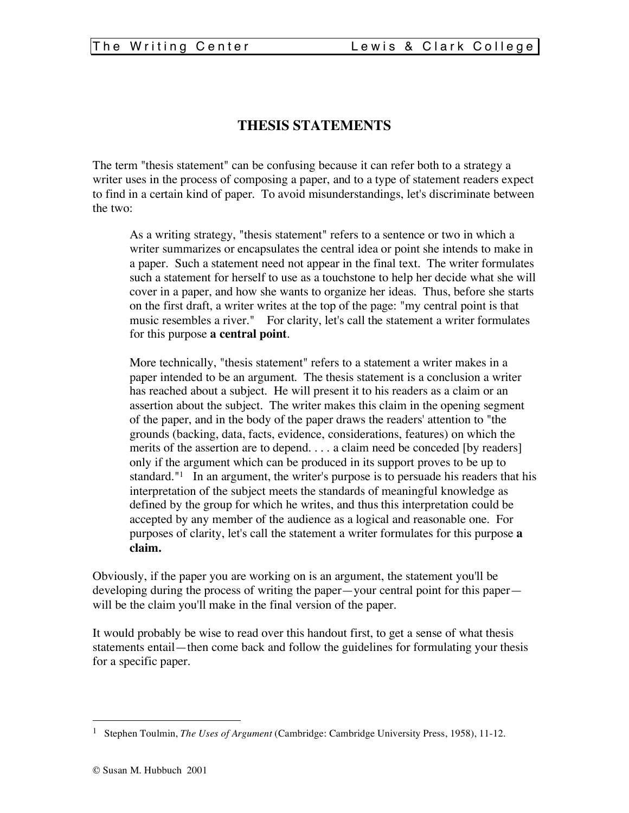## **THESIS STATEMENTS**

The term "thesis statement" can be confusing because it can refer both to a strategy a writer uses in the process of composing a paper, and to a type of statement readers expect to find in a certain kind of paper. To avoid misunderstandings, let's discriminate between the two:

As a writing strategy, "thesis statement" refers to a sentence or two in which a writer summarizes or encapsulates the central idea or point she intends to make in a paper. Such a statement need not appear in the final text. The writer formulates such a statement for herself to use as a touchstone to help her decide what she will cover in a paper, and how she wants to organize her ideas. Thus, before she starts on the first draft, a writer writes at the top of the page: "my central point is that music resembles a river." For clarity, let's call the statement a writer formulates for this purpose **a central point**.

More technically, "thesis statement" refers to a statement a writer makes in a paper intended to be an argument. The thesis statement is a conclusion a writer has reached about a subject. He will present it to his readers as a claim or an assertion about the subject. The writer makes this claim in the opening segment of the paper, and in the body of the paper draws the readers' attention to "the grounds (backing, data, facts, evidence, considerations, features) on which the merits of the assertion are to depend. . . . a claim need be conceded [by readers] only if the argument which can be produced in its support proves to be up to standard."1 In an argument, the writer's purpose is to persuade his readers that his interpretation of the subject meets the standards of meaningful knowledge as defined by the group for which he writes, and thus this interpretation could be accepted by any member of the audience as a logical and reasonable one. For purposes of clarity, let's call the statement a writer formulates for this purpose **a claim.**

Obviously, if the paper you are working on is an argument, the statement you'll be developing during the process of writing the paper—your central point for this paper will be the claim you'll make in the final version of the paper.

It would probably be wise to read over this handout first, to get a sense of what thesis statements entail—then come back and follow the guidelines for formulating your thesis for a specific paper.

 <sup>1</sup> Stephen Toulmin, *The Uses of Argument* (Cambridge: Cambridge University Press, 1958), 11-12.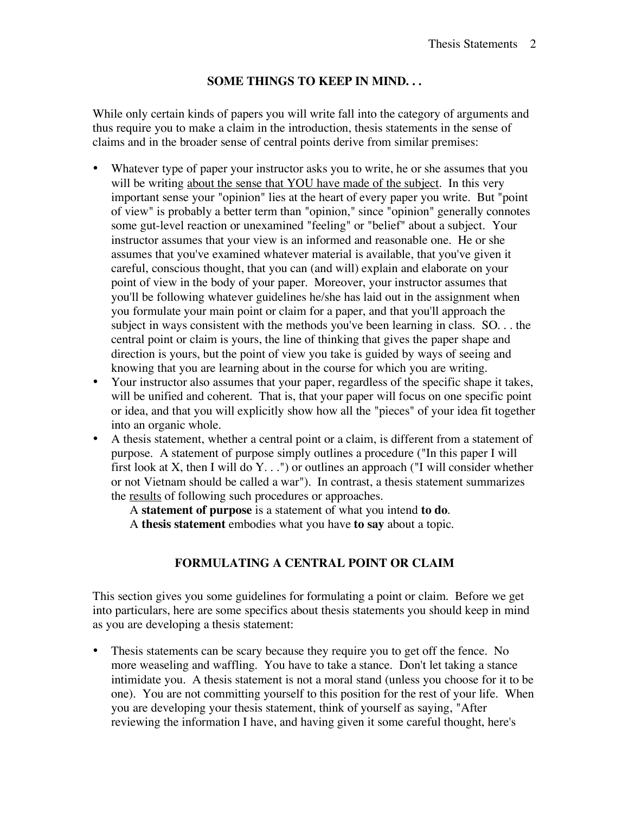## **SOME THINGS TO KEEP IN MIND. . .**

While only certain kinds of papers you will write fall into the category of arguments and thus require you to make a claim in the introduction, thesis statements in the sense of claims and in the broader sense of central points derive from similar premises:

- Whatever type of paper your instructor asks you to write, he or she assumes that you will be writing about the sense that YOU have made of the subject. In this very important sense your "opinion" lies at the heart of every paper you write. But "point of view" is probably a better term than "opinion," since "opinion" generally connotes some gut-level reaction or unexamined "feeling" or "belief" about a subject. Your instructor assumes that your view is an informed and reasonable one. He or she assumes that you've examined whatever material is available, that you've given it careful, conscious thought, that you can (and will) explain and elaborate on your point of view in the body of your paper. Moreover, your instructor assumes that you'll be following whatever guidelines he/she has laid out in the assignment when you formulate your main point or claim for a paper, and that you'll approach the subject in ways consistent with the methods you've been learning in class. SO. . . the central point or claim is yours, the line of thinking that gives the paper shape and direction is yours, but the point of view you take is guided by ways of seeing and knowing that you are learning about in the course for which you are writing.
- Your instructor also assumes that your paper, regardless of the specific shape it takes, will be unified and coherent. That is, that your paper will focus on one specific point or idea, and that you will explicitly show how all the "pieces" of your idea fit together into an organic whole.
- A thesis statement, whether a central point or a claim, is different from a statement of purpose. A statement of purpose simply outlines a procedure ("In this paper I will first look at X, then I will do  $Y_{\cdot}$ ...") or outlines an approach ("I will consider whether or not Vietnam should be called a war"). In contrast, a thesis statement summarizes the results of following such procedures or approaches.

A **statement of purpose** is a statement of what you intend **to do**.

A **thesis statement** embodies what you have **to say** about a topic.

## **FORMULATING A CENTRAL POINT OR CLAIM**

This section gives you some guidelines for formulating a point or claim. Before we get into particulars, here are some specifics about thesis statements you should keep in mind as you are developing a thesis statement:

Thesis statements can be scary because they require you to get off the fence. No more weaseling and waffling. You have to take a stance. Don't let taking a stance intimidate you. A thesis statement is not a moral stand (unless you choose for it to be one). You are not committing yourself to this position for the rest of your life. When you are developing your thesis statement, think of yourself as saying, "After reviewing the information I have, and having given it some careful thought, here's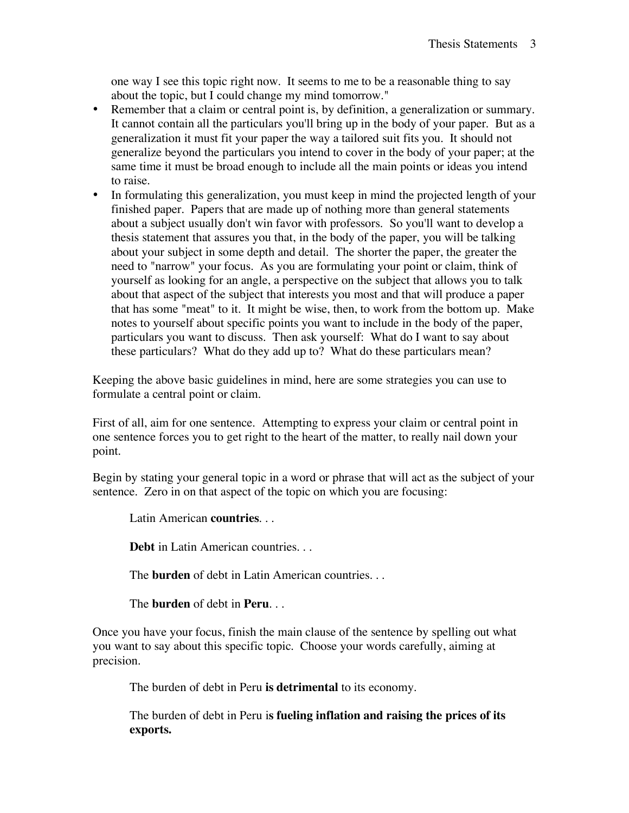one way I see this topic right now. It seems to me to be a reasonable thing to say about the topic, but I could change my mind tomorrow."

- Remember that a claim or central point is, by definition, a generalization or summary. It cannot contain all the particulars you'll bring up in the body of your paper. But as a generalization it must fit your paper the way a tailored suit fits you. It should not generalize beyond the particulars you intend to cover in the body of your paper; at the same time it must be broad enough to include all the main points or ideas you intend to raise.
- In formulating this generalization, you must keep in mind the projected length of your finished paper. Papers that are made up of nothing more than general statements about a subject usually don't win favor with professors. So you'll want to develop a thesis statement that assures you that, in the body of the paper, you will be talking about your subject in some depth and detail. The shorter the paper, the greater the need to "narrow" your focus. As you are formulating your point or claim, think of yourself as looking for an angle, a perspective on the subject that allows you to talk about that aspect of the subject that interests you most and that will produce a paper that has some "meat" to it. It might be wise, then, to work from the bottom up. Make notes to yourself about specific points you want to include in the body of the paper, particulars you want to discuss. Then ask yourself: What do I want to say about these particulars? What do they add up to? What do these particulars mean?

Keeping the above basic guidelines in mind, here are some strategies you can use to formulate a central point or claim.

First of all, aim for one sentence. Attempting to express your claim or central point in one sentence forces you to get right to the heart of the matter, to really nail down your point.

Begin by stating your general topic in a word or phrase that will act as the subject of your sentence. Zero in on that aspect of the topic on which you are focusing:

Latin American **countries**. . .

**Debt** in Latin American countries. . .

The **burden** of debt in Latin American countries. . .

The **burden** of debt in **Peru**. . .

Once you have your focus, finish the main clause of the sentence by spelling out what you want to say about this specific topic. Choose your words carefully, aiming at precision.

The burden of debt in Peru **is detrimental** to its economy.

The burden of debt in Peru i**s fueling inflation and raising the prices of its exports.**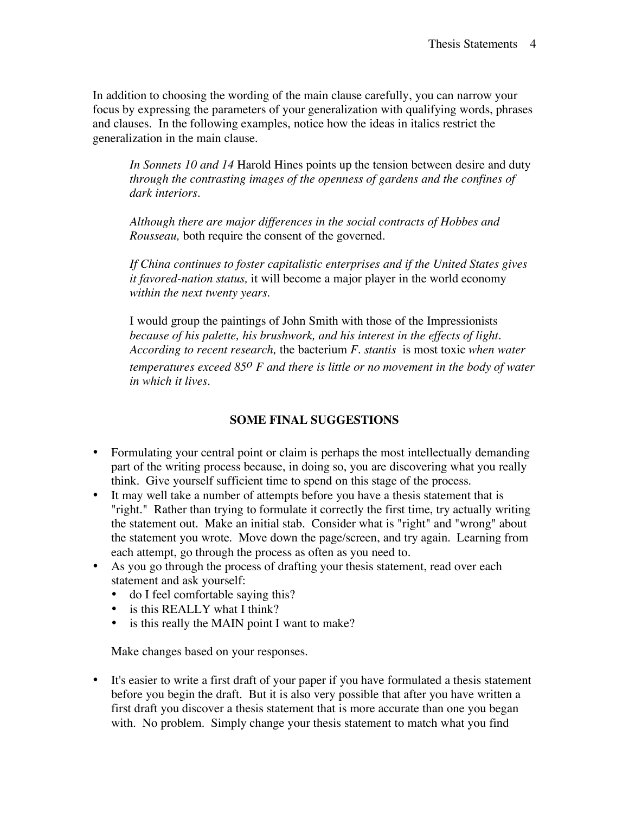In addition to choosing the wording of the main clause carefully, you can narrow your focus by expressing the parameters of your generalization with qualifying words, phrases and clauses. In the following examples, notice how the ideas in italics restrict the generalization in the main clause.

*In Sonnets 10 and 14* Harold Hines points up the tension between desire and duty *through the contrasting images of the openness of gardens and the confines of dark interiors.*

*Although there are major differences in the social contracts of Hobbes and Rousseau,* both require the consent of the governed.

*If China continues to foster capitalistic enterprises and if the United States gives it favored-nation status,* it will become a major player in the world economy *within the next twenty years.*

I would group the paintings of John Smith with those of the Impressionists *because of his palette, his brushwork, and his interest in the effects of light. According to recent research,* the bacterium *F. stantis* is most toxic *when water temperatures exceed 85o F and there is little or no movement in the body of water in which it lives.*

## **SOME FINAL SUGGESTIONS**

- Formulating your central point or claim is perhaps the most intellectually demanding part of the writing process because, in doing so, you are discovering what you really think. Give yourself sufficient time to spend on this stage of the process.
- It may well take a number of attempts before you have a thesis statement that is "right." Rather than trying to formulate it correctly the first time, try actually writing the statement out. Make an initial stab. Consider what is "right" and "wrong" about the statement you wrote. Move down the page/screen, and try again. Learning from each attempt, go through the process as often as you need to.
- As you go through the process of drafting your thesis statement, read over each statement and ask yourself:
	- do I feel comfortable saying this?
	- is this REALLY what I think?
	- is this really the MAIN point I want to make?

Make changes based on your responses.

• It's easier to write a first draft of your paper if you have formulated a thesis statement before you begin the draft. But it is also very possible that after you have written a first draft you discover a thesis statement that is more accurate than one you began with. No problem. Simply change your thesis statement to match what you find